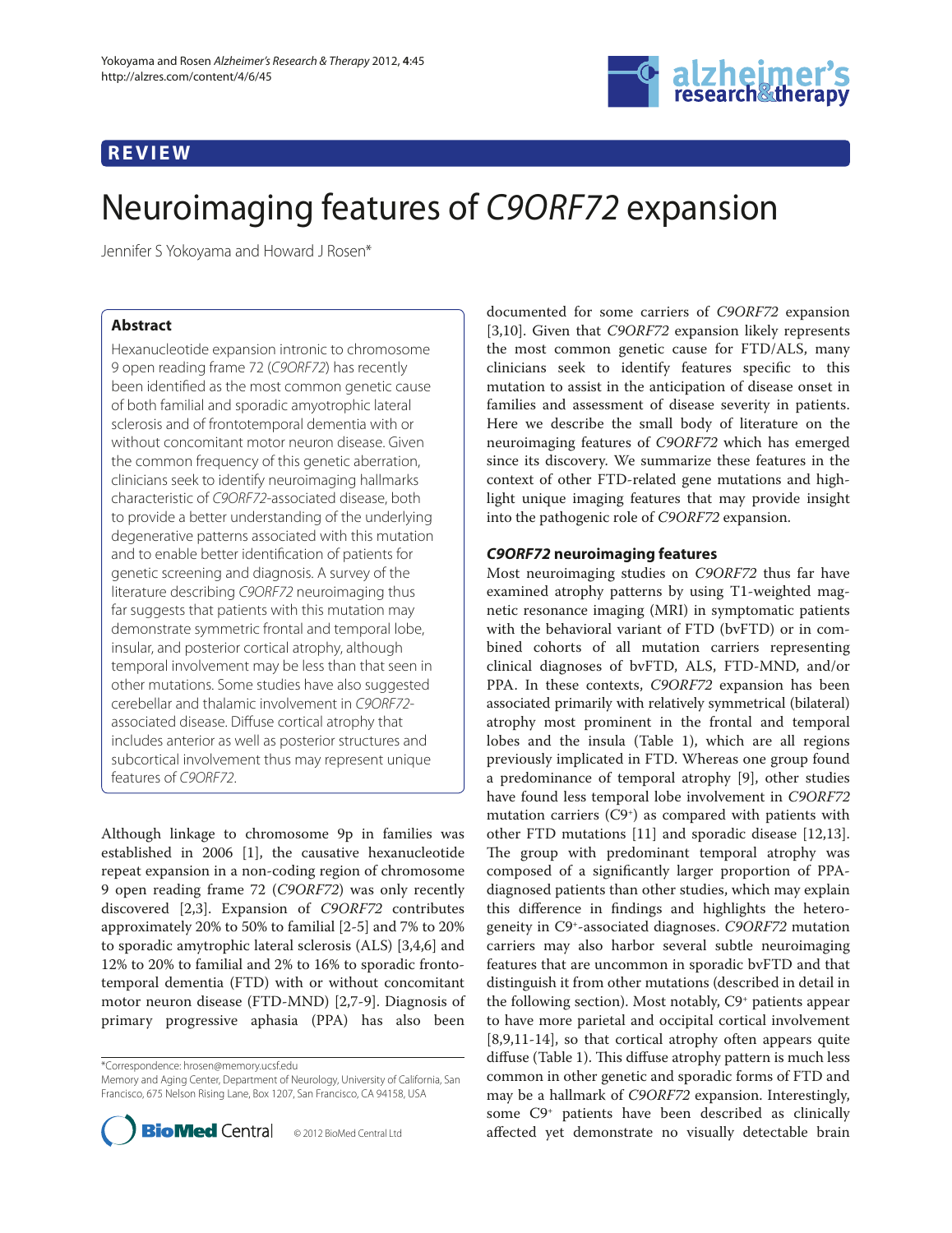## **REVIEW**



# Neuroimaging features of C9ORF72 expansion

Jennifer S Yokoyama and Howard J Rosen\*

## **Abstract**

Hexanucleotide expansion intronic to chromosome 9 open reading frame 72 (C9ORF72) has recently been identified as the most common genetic cause of both familial and sporadic amyotrophic lateral sclerosis and of frontotemporal dementia with or without concomitant motor neuron disease. Given the common frequency of this genetic aberration, clinicians seek to identify neuroimaging hallmarks characteristic of C9ORF72-associated disease, both to provide a better understanding of the underlying degenerative patterns associated with this mutation and to enable better identification of patients for genetic screening and diagnosis. A survey of the literature describing C9ORF72 neuroimaging thus far suggests that patients with this mutation may demonstrate symmetric frontal and temporal lobe, insular, and posterior cortical atrophy, although temporal involvement may be less than that seen in other mutations. Some studies have also suggested cerebellar and thalamic involvement in C9ORF72 associated disease. Diffuse cortical atrophy that includes anterior as well as posterior structures and subcortical involvement thus may represent unique features of C9ORF72.

Although linkage to chromosome 9p in families was established in 2006 [1], the causative hexanucleotide repeat expansion in a non-coding region of chromosome 9 open reading frame 72 (*C9ORF72*) was only recently discovered [2,3]. Expansion of *C9ORF72* contributes approxi mately 20% to 50% to familial [2-5] and 7% to 20% to sporadic amytrophic lateral sclerosis (ALS) [3,4,6] and 12% to 20% to familial and 2% to 16% to sporadic frontotemporal dementia (FTD) with or without concomitant motor neuron disease (FTD-MND) [2,7-9]. Diagnosis of primary progressive aphasia (PPA) has also been

\*Correspondence: hrosen@memory.ucsf.edu

Memory and Aging Center, Department of Neurology, University of California, San Francisco, 675 Nelson Rising Lane, Box 1207, San Francisco, CA 94158, USA



docu mented for some carriers of *C9ORF72* expansion [3,10]. Given that *C9ORF72* expansion likely represents the most common genetic cause for FTD/ALS, many clinicians seek to identify features specific to this mutation to assist in the anticipation of disease onset in families and assessment of disease severity in patients. Here we describe the small body of literature on the neuroimaging features of *C9ORF72* which has emerged since its discovery. We summarize these features in the context of other FTD-related gene mutations and highlight unique imaging features that may provide insight into the pathogenic role of *C9ORF72* expansion.

## *C9ORF72* **neuroimaging features**

Most neuroimaging studies on *C9ORF72* thus far have examined atrophy patterns by using T1-weighted magnetic resonance imaging (MRI) in symptomatic patients with the behavioral variant of FTD (bvFTD) or in combined cohorts of all mutation carriers representing clinical diagnoses of bvFTD, ALS, FTD-MND, and/or PPA. In these contexts, *C9ORF72* expansion has been associated primarily with relatively symmetrical (bilateral) atrophy most prominent in the frontal and temporal lobes and the insula (Table 1), which are all regions previously implicated in FTD. Whereas one group found a predominance of temporal atrophy [9], other studies have found less temporal lobe involvement in *C9ORF72* mutation carriers  $(C9<sup>+</sup>)$  as compared with patients with other FTD mutations [11] and sporadic disease [12,13]. The group with predominant temporal atrophy was composed of a significantly larger proportion of PPAdiagnosed patients than other studies, which may explain this difference in findings and highlights the heterogeneity in C9+-associated diagnoses. *C9ORF72* mutation carriers may also harbor several subtle neuroimaging features that are uncommon in sporadic bvFTD and that distinguish it from other mutations (described in detail in the following section). Most notably, C9+ patients appear to have more parietal and occipital cortical involvement [8,9,11-14], so that cortical atrophy often appears quite diffuse (Table 1). This diffuse atrophy pattern is much less common in other genetic and sporadic forms of FTD and may be a hallmark of *C9ORF72* expansion. Interestingly, some C9+ patients have been described as clinically affected yet demonstrate no visually detectable brain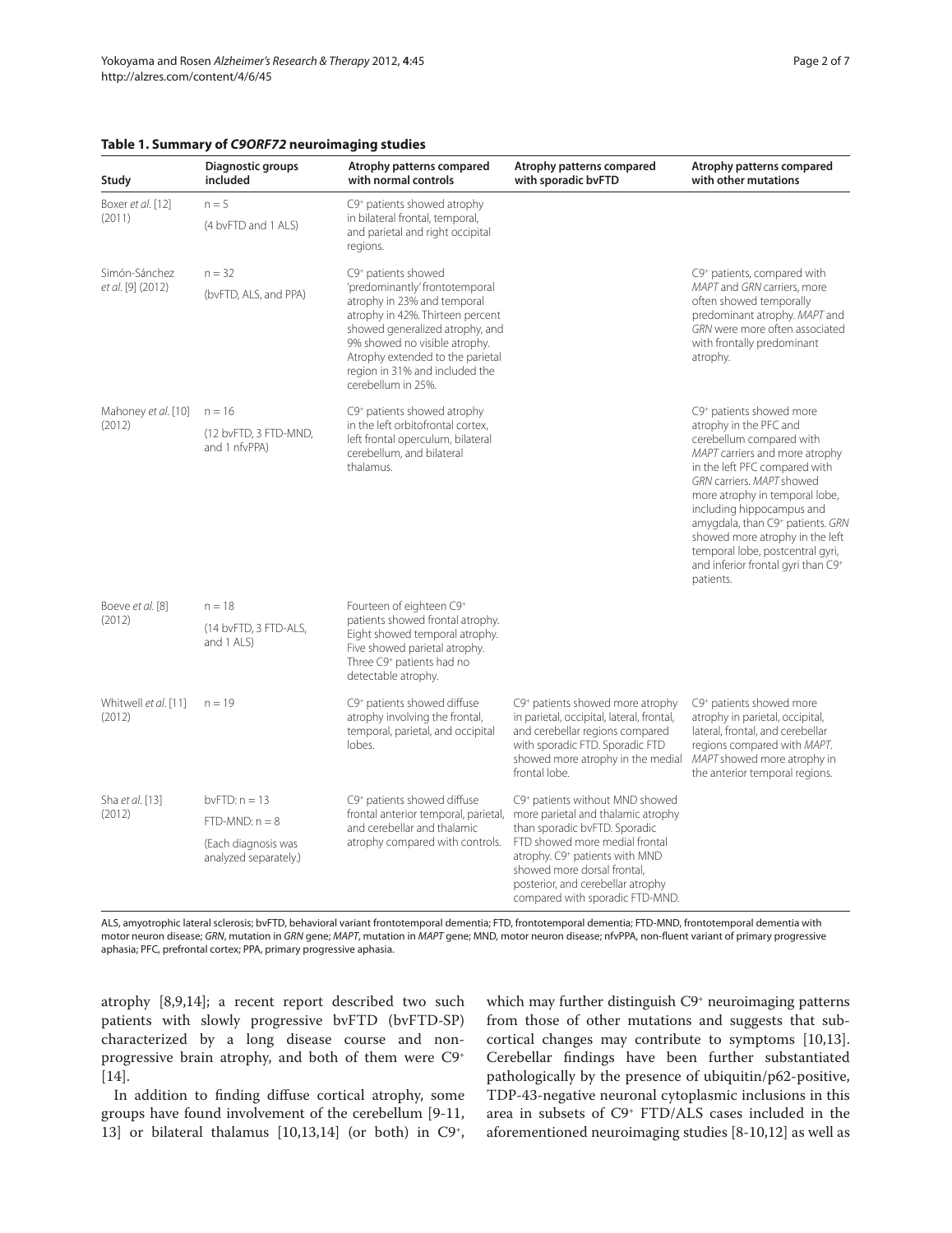## **Table 1. Summary of** *C9ORF72* **neuroimaging studies**

| Study                              | Diagnostic groups<br>included                                                       | Atrophy patterns compared<br>with normal controls                                                                                                                                                                                                                                        | Atrophy patterns compared<br>with sporadic bvFTD                                                                                                                                                                                                                                  | Atrophy patterns compared<br>with other mutations                                                                                                                                                                                                                                                                                                                                                           |
|------------------------------------|-------------------------------------------------------------------------------------|------------------------------------------------------------------------------------------------------------------------------------------------------------------------------------------------------------------------------------------------------------------------------------------|-----------------------------------------------------------------------------------------------------------------------------------------------------------------------------------------------------------------------------------------------------------------------------------|-------------------------------------------------------------------------------------------------------------------------------------------------------------------------------------------------------------------------------------------------------------------------------------------------------------------------------------------------------------------------------------------------------------|
| Boxer et al. [12]<br>(2011)        | $n = 5$<br>(4 bvFTD and 1 ALS)                                                      | C9+ patients showed atrophy<br>in bilateral frontal, temporal,<br>and parietal and right occipital<br>regions.                                                                                                                                                                           |                                                                                                                                                                                                                                                                                   |                                                                                                                                                                                                                                                                                                                                                                                                             |
| Simón-Sánchez<br>et al. [9] (2012) | $n = 32$<br>(bvFTD, ALS, and PPA)                                                   | C9+ patients showed<br>'predominantly' frontotemporal<br>atrophy in 23% and temporal<br>atrophy in 42%. Thirteen percent<br>showed generalized atrophy, and<br>9% showed no visible atrophy.<br>Atrophy extended to the parietal<br>region in 31% and included the<br>cerebellum in 25%. |                                                                                                                                                                                                                                                                                   | C9+ patients, compared with<br>MAPT and GRN carriers, more<br>often showed temporally<br>predominant atrophy. MAPT and<br>GRN were more often associated<br>with frontally predominant<br>atrophy.                                                                                                                                                                                                          |
| Mahoney et al. [10]<br>(2012)      | $n = 16$<br>(12 bvFTD, 3 FTD-MND,<br>and 1 nfvPPA)                                  | C9+ patients showed atrophy<br>in the left orbitofrontal cortex,<br>left frontal operculum, bilateral<br>cerebellum, and bilateral<br>thalamus.                                                                                                                                          |                                                                                                                                                                                                                                                                                   | C9+ patients showed more<br>atrophy in the PFC and<br>cerebellum compared with<br>MAPT carriers and more atrophy<br>in the left PFC compared with<br>GRN carriers. MAPT showed<br>more atrophy in temporal lobe,<br>including hippocampus and<br>amygdala, than C9+ patients. GRN<br>showed more atrophy in the left<br>temporal lobe, postcentral gyri,<br>and inferior frontal gyri than C9+<br>patients. |
| Boeve et al. [8]<br>(2012)         | $n = 18$<br>(14 bvFTD, 3 FTD-ALS,<br>and 1 ALS)                                     | Fourteen of eighteen C9+<br>patients showed frontal atrophy.<br>Eight showed temporal atrophy.<br>Five showed parietal atrophy.<br>Three C9 <sup>+</sup> patients had no<br>detectable atrophy.                                                                                          |                                                                                                                                                                                                                                                                                   |                                                                                                                                                                                                                                                                                                                                                                                                             |
| Whitwell et al. [11]<br>(2012)     | $n = 19$                                                                            | C9 <sup>+</sup> patients showed diffuse<br>atrophy involving the frontal,<br>temporal, parietal, and occipital<br>lobes.                                                                                                                                                                 | C9 <sup>+</sup> patients showed more atrophy<br>in parietal, occipital, lateral, frontal,<br>and cerebellar regions compared<br>with sporadic FTD. Sporadic FTD<br>showed more atrophy in the medial<br>frontal lobe.                                                             | C9 <sup>+</sup> patients showed more<br>atrophy in parietal, occipital,<br>lateral, frontal, and cerebellar<br>regions compared with MAPT.<br>MAPT showed more atrophy in<br>the anterior temporal regions.                                                                                                                                                                                                 |
| Sha et al. [13]<br>(2012)          | bvFTD: $n = 13$<br>$FTD-MND: n = 8$<br>(Each diagnosis was<br>analyzed separately.) | C9+ patients showed diffuse<br>frontal anterior temporal, parietal,<br>and cerebellar and thalamic<br>atrophy compared with controls.                                                                                                                                                    | C9+ patients without MND showed<br>more parietal and thalamic atrophy<br>than sporadic bvFTD. Sporadic<br>FTD showed more medial frontal<br>atrophy. C9+ patients with MND<br>showed more dorsal frontal,<br>posterior, and cerebellar atrophy<br>compared with sporadic FTD-MND. |                                                                                                                                                                                                                                                                                                                                                                                                             |

ALS, amyotrophic lateral sclerosis; bvFTD, behavioral variant frontotemporal dementia; FTD, frontotemporal dementia; FTD-MND, frontotemporal dementia with motor neuron disease; GRN, mutation in GRN gene; MAPT, mutation in MAPT gene; MND, motor neuron disease; nfvPPA, non-fluent variant of primary progressive aphasia; PFC, prefrontal cortex; PPA, primary progressive aphasia.

atrophy [8,9,14]; a recent report described two such patients with slowly progressive bvFTD (bvFTD-SP) characterized by a long disease course and nonprogressive brain atrophy, and both of them were C9+ [14].

In addition to finding diffuse cortical atrophy, some groups have found involvement of the cerebellum [9-11, 13] or bilateral thalamus  $[10,13,14]$  (or both) in C9<sup>+</sup>, which may further distinguish C9<sup>+</sup> neuroimaging patterns from those of other mutations and suggests that subcortical changes may contribute to symptoms [10,13]. Cerebellar findings have been further substantiated pathologically by the presence of ubiquitin/p62-positive, TDP-43-negative neuronal cytoplasmic inclusions in this area in subsets of C9+ FTD/ALS cases included in the aforementioned neuroimaging studies [8-10,12] as well as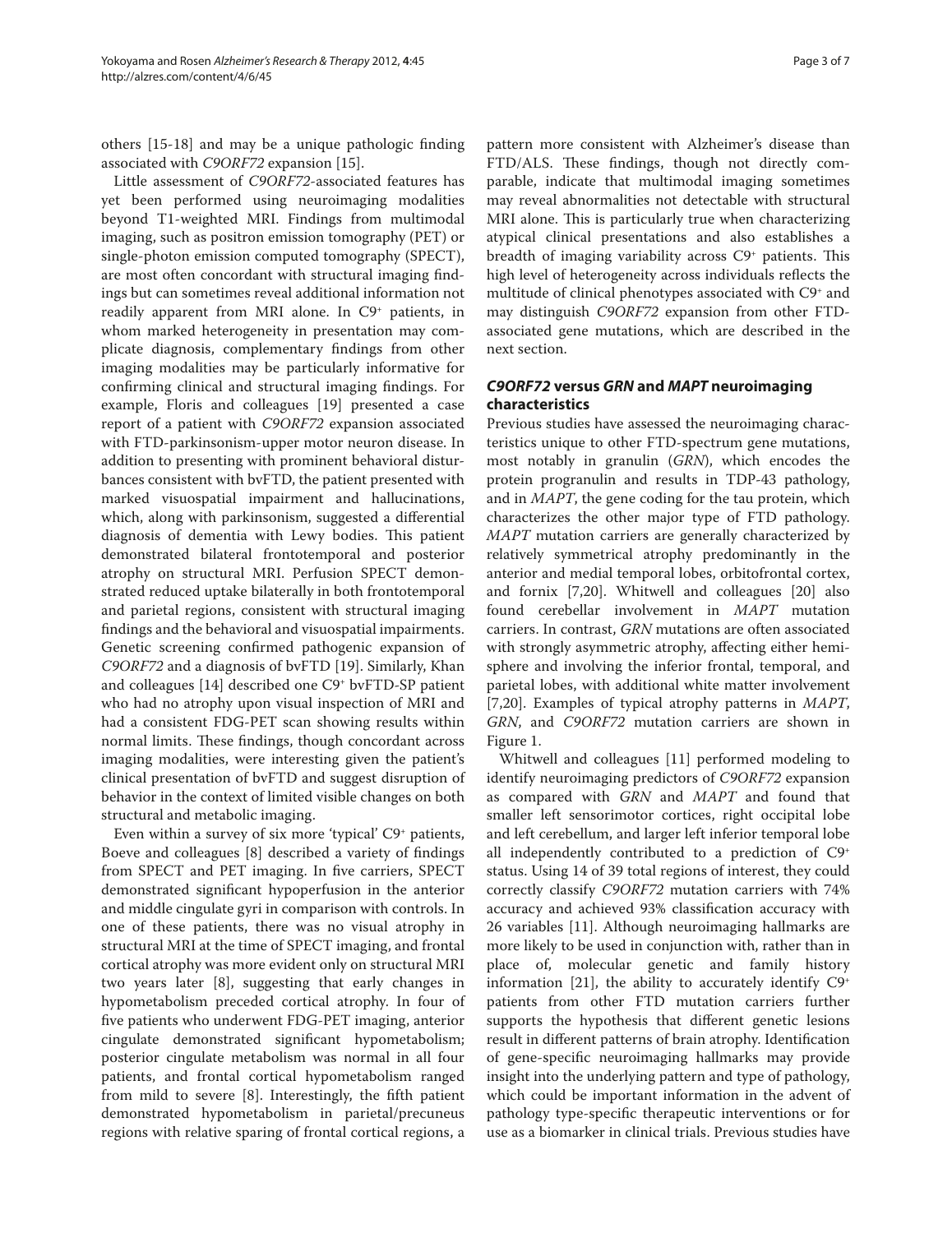others  $[15-18]$  and may be a unique pathologic finding associated with *C9ORF72* expansion [15].

Little assessment of *C9ORF72*-associated features has yet been performed using neuroimaging modalities beyond T1-weighted MRI. Findings from multimodal imaging, such as positron emission tomography (PET) or single-photon emission computed tomography (SPECT), are most often concordant with structural imaging findings but can sometimes reveal additional information not readily apparent from MRI alone. In C9<sup>+</sup> patients, in whom marked heterogeneity in presentation may complicate diagnosis, complementary findings from other imaging modalities may be particularly informative for confirming clinical and structural imaging findings. For example, Floris and colleagues [19] presented a case report of a patient with *C9ORF72* expansion associated with FTD-parkinsonism-upper motor neuron disease. In addition to presenting with prominent behavioral disturbances consistent with bvFTD, the patient presented with marked visuospatial impairment and hallucinations, which, along with parkinsonism, suggested a differential diagnosis of dementia with Lewy bodies. This patient demonstrated bilateral frontotemporal and posterior atrophy on structural MRI. Perfusion SPECT demonstrated reduced uptake bilaterally in both frontotemporal and parietal regions, consistent with structural imaging findings and the behavioral and visuospatial impairments. Genetic screening confirmed pathogenic expansion of *C9ORF72* and a diagnosis of bvFTD [19]. Similarly, Khan and colleagues [14] described one C9+ bvFTD-SP patient who had no atrophy upon visual inspection of MRI and had a consistent FDG-PET scan showing results within normal limits. These findings, though concordant across imaging modalities, were interesting given the patient's clinical presentation of bvFTD and suggest disruption of behavior in the context of limited visible changes on both structural and metabolic imaging.

Even within a survey of six more 'typical' C9+ patients, Boeve and colleagues [8] described a variety of findings from SPECT and PET imaging. In five carriers, SPECT demonstrated significant hypoperfusion in the anterior and middle cingulate gyri in comparison with controls. In one of these patients, there was no visual atrophy in structural MRI at the time of SPECT imaging, and frontal cortical atrophy was more evident only on structural MRI two years later [8], suggesting that early changes in hypometabolism preceded cortical atrophy. In four of five patients who underwent FDG-PET imaging, anterior cingulate demonstrated significant hypometabolism; posterior cingulate metabolism was normal in all four patients, and frontal cortical hypometabolism ranged from mild to severe [8]. Interestingly, the fifth patient demonstrated hypometabolism in parietal/precuneus regions with relative sparing of frontal cortical regions, a pattern more consistent with Alzheimer's disease than FTD/ALS. These findings, though not directly comparable, indicate that multimodal imaging sometimes may reveal abnormalities not detectable with structural MRI alone. This is particularly true when characterizing atypical clinical presentations and also establishes a breadth of imaging variability across  $C9$ <sup>+</sup> patients. This high level of heterogeneity across individuals reflects the multitude of clinical phenotypes associated with C9+ and may distinguish *C9ORF72* expansion from other FTDassociated gene mutations, which are described in the next section.

## *C9ORF72* **versus** *GRN* **and** *MAPT* **neuroimaging characteristics**

Previous studies have assessed the neuroimaging characteristics unique to other FTD-spectrum gene mutations, most notably in granulin (*GRN*), which encodes the protein progranulin and results in TDP-43 pathology, and in *MAPT*, the gene coding for the tau protein, which characterizes the other major type of FTD pathology. *MAPT* mutation carriers are generally characterized by relatively symmetrical atrophy predominantly in the anterior and medial temporal lobes, orbitofrontal cortex, and fornix [7,20]. Whitwell and colleagues [20] also found cerebellar involvement in *MAPT* mutation carriers. In contrast, *GRN* mutations are often associated with strongly asymmetric atrophy, affecting either hemisphere and involving the inferior frontal, temporal, and parietal lobes, with additional white matter involvement [7,20]. Examples of typical atrophy patterns in *MAPT*, *GRN*, and *C9ORF72* mutation carriers are shown in Figure 1.

Whitwell and colleagues [11] performed modeling to identify neuroimaging predictors of *C9ORF72* expansion as compared with *GRN* and *MAPT* and found that smaller left sensorimotor cortices, right occipital lobe and left cerebellum, and larger left inferior temporal lobe all independently contributed to a prediction of C9+ status. Using 14 of 39 total regions of interest, they could correctly classify *C9ORF72* mutation carriers with 74% accuracy and achieved 93% classification accuracy with 26 variables [11]. Although neuroimaging hallmarks are more likely to be used in conjunction with, rather than in place of, molecular genetic and family history information [21], the ability to accurately identify  $C9$ <sup>+</sup> patients from other FTD mutation carriers further supports the hypothesis that different genetic lesions result in different patterns of brain atrophy. Identification of gene-specific neuroimaging hallmarks may provide insight into the underlying pattern and type of pathology, which could be important information in the advent of pathology type-specific therapeutic interventions or for use as a biomarker in clinical trials. Previous studies have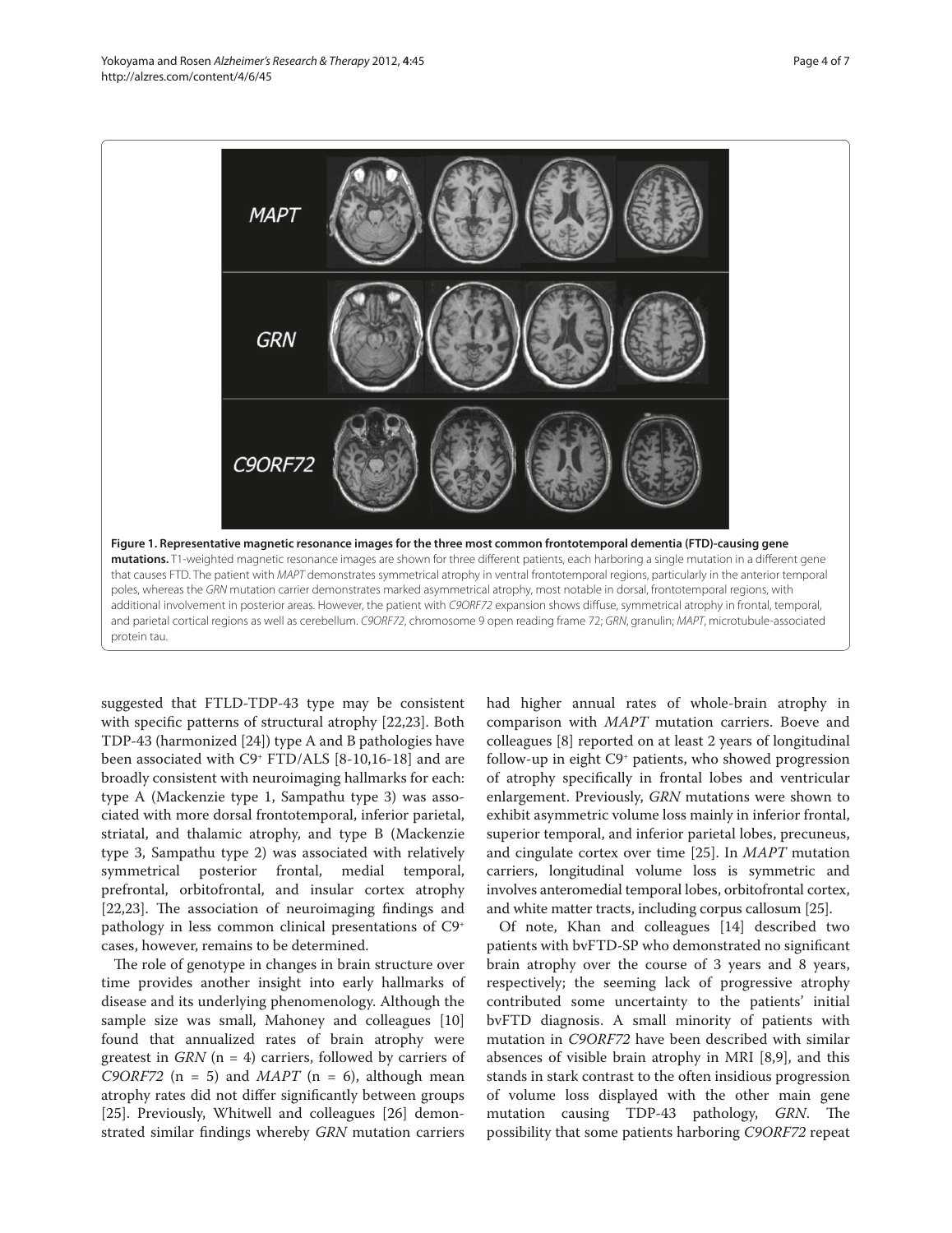

suggested that FTLD-TDP-43 type may be consistent with specific patterns of structural atrophy  $[22,23]$ . Both TDP-43 (harmonized [24]) type A and B pathologies have been associated with C9<sup>+</sup> FTD/ALS [8-10,16-18] and are broadly consistent with neuroimaging hallmarks for each: type A (Mackenzie type 1, Sampathu type 3) was associated with more dorsal frontotemporal, inferior parietal, striatal, and thalamic atrophy, and type B (Mackenzie type 3, Sampathu type 2) was associated with relatively symmetrical posterior frontal, medial temporal, prefrontal, orbitofrontal, and insular cortex atrophy  $[22,23]$ . The association of neuroimaging findings and pathology in less common clinical presentations of  $C9$ <sup>+</sup> cases, however, remains to be determined.

The role of genotype in changes in brain structure over time provides another insight into early hallmarks of disease and its underlying phenomenology. Although the sample size was small, Mahoney and colleagues [10] found that annualized rates of brain atrophy were greatest in *GRN* (n = 4) carriers, followed by carriers of *C9ORF72* ( $n = 5$ ) and *MAPT* ( $n = 6$ ), although mean atrophy rates did not differ significantly between groups [25]. Previously, Whitwell and colleagues [26] demonstrated similar findings whereby *GRN* mutation carriers had higher annual rates of whole-brain atrophy in comparison with *MAPT* mutation carriers. Boeve and colleagues [8] reported on at least 2 years of longitudinal follow-up in eight C9+ patients, who showed progression of atrophy specifically in frontal lobes and ventricular enlargement. Previously, *GRN* mutations were shown to exhibit asymmetric volume loss mainly in inferior frontal, superior temporal, and inferior parietal lobes, precuneus, and cingulate cortex over time [25]. In *MAPT* mutation carriers, longitudinal volume loss is symmetric and involves anteromedial temporal lobes, orbitofrontal cortex, and white matter tracts, including corpus callosum [25].

Of note, Khan and colleagues [14] described two patients with bvFTD-SP who demonstrated no significant brain atrophy over the course of 3 years and 8 years, respectively; the seeming lack of progressive atrophy contributed some uncertainty to the patients' initial bvFTD diagnosis. A small minority of patients with mutation in *C9ORF72* have been described with similar absences of visible brain atrophy in MRI [8,9], and this stands in stark contrast to the often insidious progression of volume loss displayed with the other main gene mutation causing TDP-43 pathology, *GRN*. The possibility that some patients harboring *C9ORF72* repeat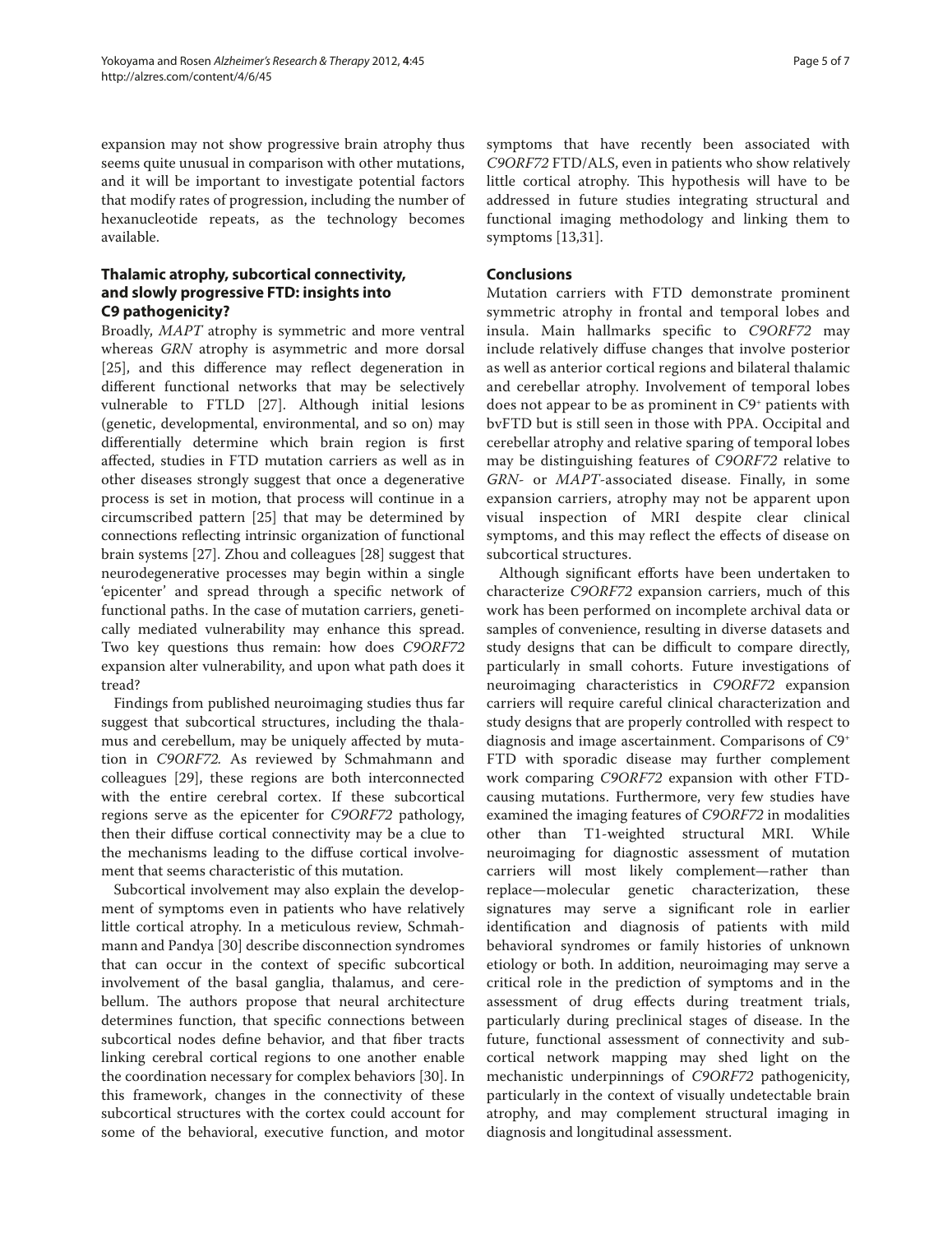expansion may not show progressive brain atrophy thus seems quite unusual in comparison with other mutations, and it will be important to investigate potential factors that modify rates of progression, including the number of hexanucleotide repeats, as the technology becomes available.

## **Thalamic atrophy, subcortical connectivity, and slowly progressive FTD: insights into C9 pathogenicity?**

Broadly, *MAPT* atrophy is symmetric and more ventral whereas *GRN* atrophy is asymmetric and more dorsal [25], and this difference may reflect degeneration in different functional networks that may be selectively vulnerable to FTLD [27]. Although initial lesions (genetic, developmental, environmental, and so on) may differentially determine which brain region is first affected, studies in FTD mutation carriers as well as in other diseases strongly suggest that once a degenerative process is set in motion, that process will continue in a circumscribed pattern [25] that may be determined by connections reflecting intrinsic organization of functional brain systems [27]. Zhou and colleagues [28] suggest that neurodegenerative processes may begin within a single 'epicenter' and spread through a specific network of functional paths. In the case of mutation carriers, genetically mediated vulnerability may enhance this spread. Two key questions thus remain: how does *C9ORF72* expansion alter vulnerability, and upon what path does it tread?

Findings from published neuroimaging studies thus far suggest that subcortical structures, including the thalamus and cerebellum, may be uniquely affected by mutation in *C9ORF72.* As reviewed by Schmahmann and colleagues [29], these regions are both interconnected with the entire cerebral cortex. If these subcortical regions serve as the epicenter for *C9ORF72* pathology, then their diffuse cortical connectivity may be a clue to the mechanisms leading to the diffuse cortical involvement that seems characteristic of this mutation.

Subcortical involvement may also explain the development of symptoms even in patients who have relatively little cortical atrophy. In a meticulous review, Schmahmann and Pandya [30] describe disconnection syndromes that can occur in the context of specific subcortical involvement of the basal ganglia, thalamus, and cerebellum. The authors propose that neural architecture determines function, that specific connections between subcortical nodes define behavior, and that fiber tracts linking cerebral cortical regions to one another enable the coordination necessary for complex behaviors [30]. In this framework, changes in the connectivity of these subcortical structures with the cortex could account for some of the behavioral, executive function, and motor symptoms that have recently been associated with *C9ORF72* FTD/ALS, even in patients who show relatively little cortical atrophy. This hypothesis will have to be addressed in future studies integrating structural and functional imaging methodology and linking them to symptoms [13,31].

## **Conclusions**

Mutation carriers with FTD demonstrate prominent sym metric atrophy in frontal and temporal lobes and insula. Main hallmarks specific to *C9ORF72* may include relatively diffuse changes that involve posterior as well as anterior cortical regions and bilateral thalamic and cerebellar atrophy. Involvement of temporal lobes does not appear to be as prominent in C9<sup>+</sup> patients with bvFTD but is still seen in those with PPA. Occipital and cere bellar atrophy and relative sparing of temporal lobes may be distinguishing features of *C9ORF72* relative to *GRN*- or *MAPT*-associated disease. Finally, in some expansion carriers, atrophy may not be apparent upon visual inspection of MRI despite clear clinical symptoms, and this may reflect the effects of disease on subcortical structures.

Although significant efforts have been undertaken to characterize *C9ORF72* expansion carriers, much of this work has been performed on incomplete archival data or samples of convenience, resulting in diverse datasets and study designs that can be difficult to compare directly, particularly in small cohorts. Future investigations of neuroimaging characteristics in *C9ORF72* expansion carriers will require careful clinical characterization and study designs that are properly controlled with respect to diagnosis and image ascertainment. Comparisons of C9+ FTD with sporadic disease may further complement work comparing *C9ORF72* expansion with other FTDcausing mutations. Furthermore, very few studies have examined the imaging features of *C9ORF72* in modalities other than T1-weighted structural MRI. While neuroimaging for diagnostic assessment of mutation carriers will most likely complement—rather than replace—molecular genetic characterization, these signatures may serve a significant role in earlier identification and diagnosis of patients with mild behavioral syndromes or family histories of unknown etiology or both. In addition, neuroimaging may serve a critical role in the prediction of symptoms and in the assessment of drug effects during treatment trials, particularly during preclinical stages of disease. In the future, functional assessment of connectivity and subcortical network mapping may shed light on the mechanistic underpinnings of *C9ORF72* pathogenicity, particularly in the context of visually undetectable brain atrophy, and may complement structural imaging in diagnosis and longitudinal assessment.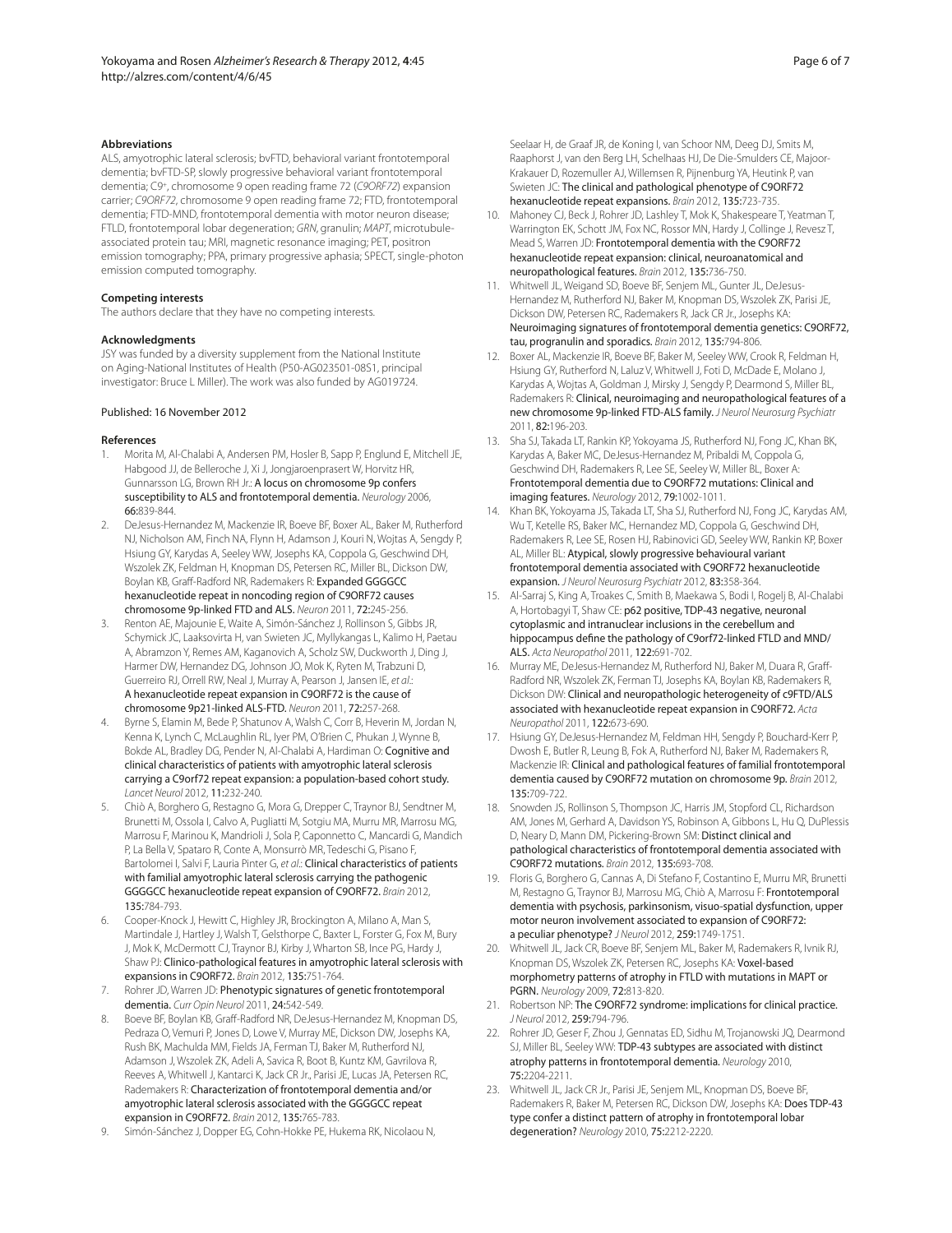### **Abbreviations**

ALS, amyotrophic lateral sclerosis; bvFTD, behavioral variant frontotemporal dementia; bvFTD-SP, slowly progressive behavioral variant frontotemporal dementia; C9+, chromosome 9 open reading frame 72 (C9ORF72) expansion carrier; C9ORF72, chromosome 9 open reading frame 72; FTD, frontotemporal dementia; FTD-MND, frontotemporal dementia with motor neuron disease; FTLD, frontotemporal lobar degeneration; GRN, granulin; MAPT, microtubuleassociated protein tau; MRI, magnetic resonance imaging; PET, positron emission tomography; PPA, primary progressive aphasia; SPECT, single-photon emission computed tomography.

#### **Competing interests**

The authors declare that they have no competing interests.

#### **Acknowledgments**

JSY was funded by a diversity supplement from the National Institute on Aging-National Institutes of Health (P50-AG023501-08S1, principal investigator: Bruce L Miller). The work was also funded by AG019724.

#### Published: 16 November 2012

#### **References**

- 1. Morita M, Al-Chalabi A, Andersen PM, Hosler B, Sapp P, Englund E, Mitchell JE, Habgood JJ, de Belleroche J, Xi J, Jongjaroenprasert W, Horvitz HR, Gunnarsson LG, Brown RH Jr.: A locus on chromosome 9p confers susceptibility to ALS and frontotemporal dementia. Neurology 2006, 66:839-844.
- DeJesus-Hernandez M, Mackenzie IR, Boeve BF, Boxer AL, Baker M, Rutherford NJ, Nicholson AM, Finch NA, Flynn H, Adamson J, Kouri N, Wojtas A, Sengdy P, Hsiung GY, Karydas A, Seeley WW, Josephs KA, Coppola G, Geschwind DH, Wszolek ZK, Feldman H, Knopman DS, Petersen RC, Miller BL, Dickson DW, Boylan KB, Graff-Radford NR, Rademakers R: Expanded GGGGCC hexanucleotide repeat in noncoding region of C9ORF72 causes chromosome 9p-linked FTD and ALS. Neuron 2011, 72:245-256.
- 3 . Renton AE, Majounie E, Waite A, Simón-Sánchez J, Rollinson S, Gibbs JR, Schymick JC, Laaksovirta H, van Swieten JC, Myllykangas L, Kalimo H, Paetau A, Abramzon Y, Remes AM, Kaganovich A, Scholz SW, Duckworth J, Ding J, Harmer DW, Hernandez DG, Johnson JO, Mok K, Ryten M, Trabzuni D, Guerreiro RJ, Orrell RW, Neal J, Murray A, Pearson J, Jansen IE, et al.: A hexanucleotide repeat expansion in C9ORF72 is the cause of chromosome 9p21-linked ALS-FTD. Neuron 2011, 72:257-268.
- Byrne S, Elamin M, Bede P, Shatunov A, Walsh C, Corr B, Heverin M, Jordan N, Kenna K, Lynch C, McLaughlin RL, Iyer PM, O'Brien C, Phukan J, Wynne B, Bokde AL, Bradley DG, Pender N, Al-Chalabi A, Hardiman O: Cognitive and clinical characteristics of patients with amyotrophic lateral sclerosis carrying a C9orf72 repeat expansion: a population-based cohort study. Lancet Neurol 2012, 11:232-240.
- 5. Chiò A, Borghero G, Restagno G, Mora G, Drepper C, Traynor BJ, Sendtner M, Brunetti M, Ossola I, Calvo A, Pugliatti M, Sotgiu MA, Murru MR, Marrosu MG, Marrosu F, Marinou K, Mandrioli J, Sola P, Caponnetto C, Mancardi G, Mandich P, La Bella V, Spataro R, Conte A, Monsurrò MR, Tedeschi G, Pisano F, Bartolomei I, Salvi F, Lauria Pinter G, et al.: Clinical characteristics of patients with familial amyotrophic lateral sclerosis carrying the pathogenic GGGGCC hexanucleotide repeat expansion of C9ORF72. Brain 2012, 135:784-793.
- 6. Cooper-Knock J, Hewitt C, Highley JR, Brockington A, Milano A, Man S, Martindale J, Hartley J, Walsh T, Gelsthorpe C, Baxter L, Forster G, Fox M, Bury J, Mok K, McDermott CJ, Traynor BJ, Kirby J, Wharton SB, Ince PG, Hardy J, Shaw PJ: Clinico-pathological features in amyotrophic lateral sclerosis with expansions in C9ORF72. Brain 2012, 135:751-764.
- 7. Rohrer JD, Warren JD: Phenotypic signatures of genetic frontotemporal dementia. Curr Opin Neurol 2011, 24:542-549.
- Boeve BF, Boylan KB, Graff-Radford NR, DeJesus-Hernandez M, Knopman DS, Pedraza O, Vemuri P, Jones D, Lowe V, Murray ME, Dickson DW, Josephs KA, Rush BK, Machulda MM, Fields JA, Ferman TJ, Baker M, Rutherford NJ, Adamson J, Wszolek ZK, Adeli A, Savica R, Boot B, Kuntz KM, Gavrilova R, Reeves A, Whitwell J, Kantarci K, Jack CR Jr., Parisi JE, Lucas JA, Petersen RC, Rademakers R: Characterization of frontotemporal dementia and/or amyotrophic lateral sclerosis associated with the GGGGCC repeat expansion in C9ORF72. Brain 2012, 135:765-783.
- 9. Simón-Sánchez J, Dopper EG, Cohn-Hokke PE, Hukema RK, Nicolaou N,
- 10. Mahoney CJ, Beck J, Rohrer JD, Lashley T, Mok K, Shakespeare T, Yeatman T, Warrington EK, Schott JM, Fox NC, Rossor MN, Hardy J, Collinge J, Revesz T, Mead S, Warren JD: Frontotemporal dementia with the C9ORF72 hexanucleotide repeat expansion: clinical, neuroanatomical and neuropathological features. Brain 2012, 135:736-750.
- 11. Whitwell JL, Weigand SD, Boeve BF, Senjem ML, Gunter JL, DeJesus-Hernandez M, Rutherford NJ, Baker M, Knopman DS, Wszolek ZK, Parisi JE, Dickson DW, Petersen RC, Rademakers R, Jack CR Jr., Josephs KA: Neuroimaging signatures of frontotemporal dementia genetics: C9ORF72, tau, progranulin and sporadics. Brain 2012, 135:794-806.
- 12. Boxer AL, Mackenzie IR, Boeve BF, Baker M, Seeley WW, Crook R, Feldman H, Hsiung GY, Rutherford N, Laluz V, Whitwell J, Foti D, McDade E, Molano J, Karydas A, Wojtas A, Goldman J, Mirsky J, Sengdy P, Dearmond S, Miller BL, Rademakers R: Clinical, neuroimaging and neuropathological features of a new chromosome 9p-linked FTD-ALS family. J Neurol Neurosurg Psychiatr 2011, 82:196-203.
- 13. Sha SJ, Takada LT, Rankin KP, Yokoyama JS, Rutherford NJ, Fong JC, Khan BK, Karydas A, Baker MC, DeJesus-Hernandez M, Pribaldi M, Coppola G, Geschwind DH, Rademakers R, Lee SE, Seeley W, Miller BL, Boxer A: Frontotemporal dementia due to C9ORF72 mutations: Clinical and imaging features. Neurology 2012, 79:1002-1011.
- 14. Khan BK, Yokoyama JS, Takada LT, Sha SJ, Rutherford NJ, Fong JC, Karydas AM, Wu T, Ketelle RS, Baker MC, Hernandez MD, Coppola G, Geschwind DH, Rademakers R, Lee SE, Rosen HJ, Rabinovici GD, Seeley WW, Rankin KP, Boxer AL, Miller BL: Atypical, slowly progressive behavioural variant frontotemporal dementia associated with C9ORF72 hexanucleotide expansion. J Neurol Neurosurg Psychiatr 2012, 83:358-364.
- 15. Al-Sarraj S, King A, Troakes C, Smith B, Maekawa S, Bodi I, Rogelj B, Al-Chalabi A, Hortobagyi T, Shaw CE: p62 positive, TDP-43 negative, neuronal cytoplasmic and intranuclear inclusions in the cerebellum and hippocampus define the pathology of C9orf72-linked FTLD and MND/ ALS. Acta Neuropathol 2011, 122:691-702.
- 16. Murray ME, DeJesus-Hernandez M, Rutherford NJ, Baker M, Duara R, Graff-Radford NR, Wszolek ZK, Ferman TJ, Josephs KA, Boylan KB, Rademakers R, Dickson DW: Clinical and neuropathologic heterogeneity of c9FTD/ALS associated with hexanucleotide repeat expansion in C9ORF72. Acta Neuropathol 2011, 122:673-690.
- 17. Hsiung GY, DeJesus-Hernandez M, Feldman HH, Sengdy P, Bouchard-Kerr P, Dwosh E, Butler R, Leung B, Fok A, Rutherford NJ, Baker M, Rademakers R, Mackenzie IR: Clinical and pathological features of familial frontotemporal dementia caused by C9ORF72 mutation on chromosome 9p. Brain 2012, 135:709-722.
- 18. Snowden JS, Rollinson S, Thompson JC, Harris JM, Stopford CL, Richardson AM, Jones M, Gerhard A, Davidson YS, Robinson A, Gibbons L, Hu Q, DuPlessis D, Neary D, Mann DM, Pickering-Brown SM: Distinct clinical and pathological characteristics of frontotemporal dementia associated with C9ORF72 mutations. Brain 2012, 135:693-708.
- 19. Floris G, Borghero G, Cannas A, Di Stefano F, Costantino E, Murru MR, Brunetti M, Restagno G, Traynor BJ, Marrosu MG, Chiò A, Marrosu F: Frontotemporal dementia with psychosis, parkinsonism, visuo-spatial dysfunction, upper motor neuron involvement associated to expansion of C9ORF72: a peculiar phenotype? J Neurol 2012, 259:1749-1751.
- 20. Whitwell JL, Jack CR, Boeve BF, Senjem ML, Baker M, Rademakers R, Ivnik RJ, Knopman DS, Wszolek ZK, Petersen RC, Josephs KA: Voxel-based morphometry patterns of atrophy in FTLD with mutations in MAPT or PGRN. Neurology 2009, 72:813-820.
- 21. Robertson NP: The C9ORF72 syndrome: implications for clinical practice. J Neurol 2012, 259:794-796.
- 22. Rohrer JD, Geser F, Zhou J, Gennatas ED, Sidhu M, Trojanowski JQ, Dearmond SJ, Miller BL, Seeley WW: TDP-43 subtypes are associated with distinct atrophy patterns in frontotemporal dementia. Neurology 2010, 75:2204-2211.
- 23. Whitwell JL, Jack CR Jr., Parisi JE, Senjem ML, Knopman DS, Boeve BF, Rademakers R, Baker M, Petersen RC, Dickson DW, Josephs KA: Does TDP-43 type confer a distinct pattern of atrophy in frontotemporal lobar degeneration? Neurology 2010, 75:2212-2220.